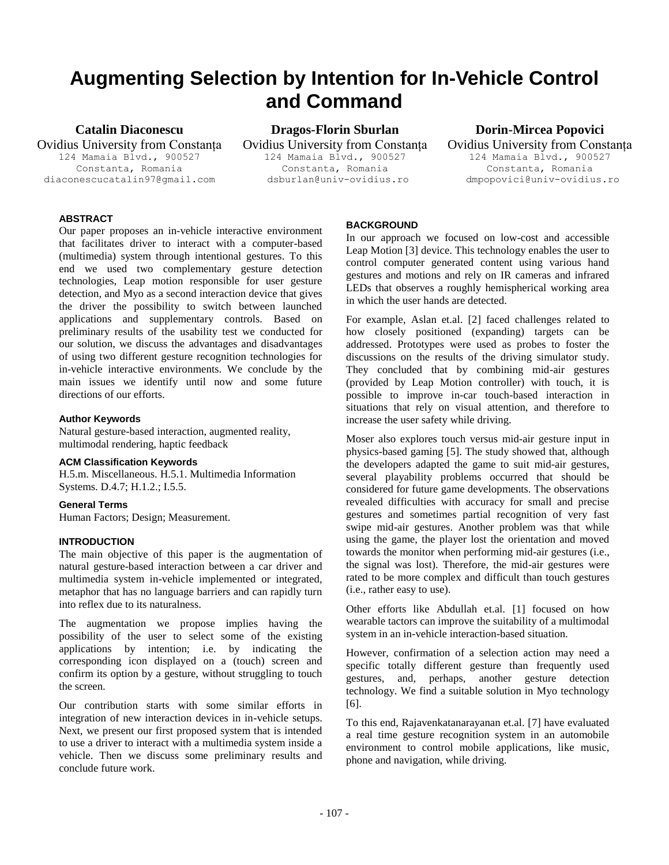# **Augmenting Selection by Intention for In-Vehicle Control and Command**

**Catalin Diaconescu**

Ovidius University from Constanța 124 Mamaia Blvd., 900527 Constanta, Romania diaconescucatalin97@gmail.com

**Dragos-Florin Sburlan** Ovidius University from Constanța

124 Mamaia Blvd., 900527 Constanta, Romania dsburlan@univ-ovidius.ro

# **Dorin-Mircea Popovici**

Ovidius University from Constanța 124 Mamaia Blvd., 900527 Constanta, Romania dmpopovici@univ-ovidius.ro

# **ABSTRACT**

Our paper proposes an in-vehicle interactive environment that facilitates driver to interact with a computer-based (multimedia) system through intentional gestures. To this end we used two complementary gesture detection technologies, Leap motion responsible for user gesture detection, and Myo as a second interaction device that gives the driver the possibility to switch between launched applications and supplementary controls. Based on preliminary results of the usability test we conducted for our solution, we discuss the advantages and disadvantages of using two different gesture recognition technologies for in-vehicle interactive environments. We conclude by the main issues we identify until now and some future directions of our efforts.

# **Author Keywords**

Natural gesture-based interaction, augmented reality, multimodal rendering, haptic feedback

#### **ACM Classification Keywords**

H.5.m. Miscellaneous. H.5.1. Multimedia Information Systems. D.4.7; H.1.2.; I.5.5.

# **General Terms**

Human Factors; Design; Measurement.

# **INTRODUCTION**

The main objective of this paper is the augmentation of natural gesture-based interaction between a car driver and multimedia system in-vehicle implemented or integrated, metaphor that has no language barriers and can rapidly turn into reflex due to its naturalness.

The augmentation we propose implies having the possibility of the user to select some of the existing applications by intention; i.e. by indicating the corresponding icon displayed on a (touch) screen and confirm its option by a gesture, without struggling to touch the screen.

Our contribution starts with some similar efforts in integration of new interaction devices in in-vehicle setups. Next, we present our first proposed system that is intended to use a driver to interact with a multimedia system inside a vehicle. Then we discuss some preliminary results and conclude future work.

### **BACKGROUND**

In our approach we focused on low-cost and accessible Leap Motion [3] device. This technology enables the user to control computer generated content using various hand gestures and motions and rely on IR cameras and infrared LEDs that observes a roughly hemispherical working area in which the user hands are detected.

For example, Aslan et.al. [2] faced challenges related to how closely positioned (expanding) targets can be addressed. Prototypes were used as probes to foster the discussions on the results of the driving simulator study. They concluded that by combining mid-air gestures (provided by Leap Motion controller) with touch, it is possible to improve in-car touch-based interaction in situations that rely on visual attention, and therefore to increase the user safety while driving.

Moser also explores touch versus mid-air gesture input in physics-based gaming [5]. The study showed that, although the developers adapted the game to suit mid-air gestures, several playability problems occurred that should be considered for future game developments. The observations revealed difficulties with accuracy for small and precise gestures and sometimes partial recognition of very fast swipe mid-air gestures. Another problem was that while using the game, the player lost the orientation and moved towards the monitor when performing mid-air gestures (i.e., the signal was lost). Therefore, the mid-air gestures were rated to be more complex and difficult than touch gestures (i.e., rather easy to use).

Other efforts like Abdullah et.al. [1] focused on how wearable tactors can improve the suitability of a multimodal system in an in-vehicle interaction-based situation.

However, confirmation of a selection action may need a specific totally different gesture than frequently used gestures, and, perhaps, another gesture detection technology. We find a suitable solution in Myo technology [6].

To this end, Rajavenkatanarayanan et.al. [7] have evaluated a real time gesture recognition system in an automobile environment to control mobile applications, like music, phone and navigation, while driving.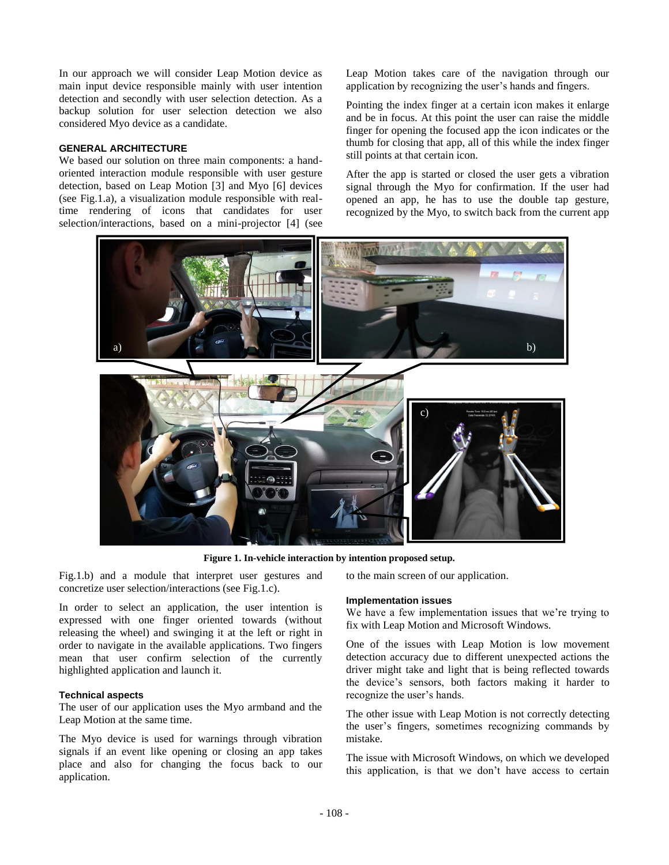In our approach we will consider Leap Motion device as main input device responsible mainly with user intention detection and secondly with user selection detection. As a backup solution for user selection detection we also considered Myo device as a candidate.

#### **GENERAL ARCHITECTURE**

We based our solution on three main components: a handoriented interaction module responsible with user gesture detection, based on Leap Motion [3] and Myo [6] devices (see Fig.1.a), a visualization module responsible with realtime rendering of icons that candidates for user selection/interactions, based on a mini-projector [4] (see Leap Motion takes care of the navigation through our application by recognizing the user's hands and fingers.

Pointing the index finger at a certain icon makes it enlarge and be in focus. At this point the user can raise the middle finger for opening the focused app the icon indicates or the thumb for closing that app, all of this while the index finger still points at that certain icon.

After the app is started or closed the user gets a vibration signal through the Myo for confirmation. If the user had opened an app, he has to use the double tap gesture, recognized by the Myo, to switch back from the current app



**Figure 1. In-vehicle interaction by intention proposed setup.**

Fig.1.b) and a module that interpret user gestures and concretize user selection/interactions (see Fig.1.c).

In order to select an application, the user intention is expressed with one finger oriented towards (without releasing the wheel) and swinging it at the left or right in order to navigate in the available applications. Two fingers mean that user confirm selection of the currently highlighted application and launch it.

#### **Technical aspects**

The user of our application uses the Myo armband and the Leap Motion at the same time.

The Myo device is used for warnings through vibration signals if an event like opening or closing an app takes place and also for changing the focus back to our application.

to the main screen of our application.

#### **Implementation issues**

We have a few implementation issues that we're trying to fix with Leap Motion and Microsoft Windows.

One of the issues with Leap Motion is low movement detection accuracy due to different unexpected actions the driver might take and light that is being reflected towards the device's sensors, both factors making it harder to recognize the user's hands.

The other issue with Leap Motion is not correctly detecting the user's fingers, sometimes recognizing commands by mistake.

The issue with Microsoft Windows, on which we developed this application, is that we don't have access to certain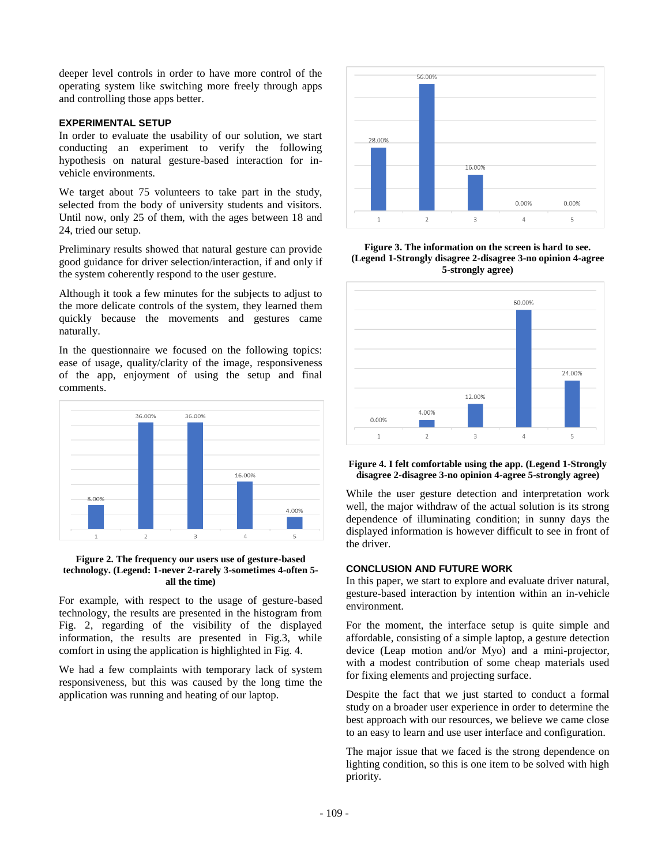deeper level controls in order to have more control of the operating system like switching more freely through apps and controlling those apps better.

#### **EXPERIMENTAL SETUP**

In order to evaluate the usability of our solution, we start conducting an experiment to verify the following hypothesis on natural gesture-based interaction for invehicle environments.

We target about 75 volunteers to take part in the study, selected from the body of university students and visitors. Until now, only 25 of them, with the ages between 18 and 24, tried our setup.

Preliminary results showed that natural gesture can provide good guidance for driver selection/interaction, if and only if the system coherently respond to the user gesture.

Although it took a few minutes for the subjects to adjust to the more delicate controls of the system, they learned them quickly because the movements and gestures came naturally.

In the questionnaire we focused on the following topics: ease of usage, quality/clarity of the image, responsiveness of the app, enjoyment of using the setup and final comments.



#### **Figure 2. The frequency our users use of gesture-based technology. (Legend: 1-never 2-rarely 3-sometimes 4-often 5 all the time)**

For example, with respect to the usage of gesture-based technology, the results are presented in the histogram from Fig. 2, regarding of the visibility of the displayed information, the results are presented in Fig.3, while comfort in using the application is highlighted in Fig. 4.

We had a few complaints with temporary lack of system responsiveness, but this was caused by the long time the application was running and heating of our laptop.



**Figure 3. The information on the screen is hard to see. (Legend 1-Strongly disagree 2-disagree 3-no opinion 4-agree 5-strongly agree)**



#### **Figure 4. I felt comfortable using the app. (Legend 1-Strongly disagree 2-disagree 3-no opinion 4-agree 5-strongly agree)**

While the user gesture detection and interpretation work well, the major withdraw of the actual solution is its strong dependence of illuminating condition; in sunny days the displayed information is however difficult to see in front of the driver.

#### **CONCLUSION AND FUTURE WORK**

In this paper, we start to explore and evaluate driver natural, gesture-based interaction by intention within an in-vehicle environment.

For the moment, the interface setup is quite simple and affordable, consisting of a simple laptop, a gesture detection device (Leap motion and/or Myo) and a mini-projector, with a modest contribution of some cheap materials used for fixing elements and projecting surface.

Despite the fact that we just started to conduct a formal study on a broader user experience in order to determine the best approach with our resources, we believe we came close to an easy to learn and use user interface and configuration.

The major issue that we faced is the strong dependence on lighting condition, so this is one item to be solved with high priority.